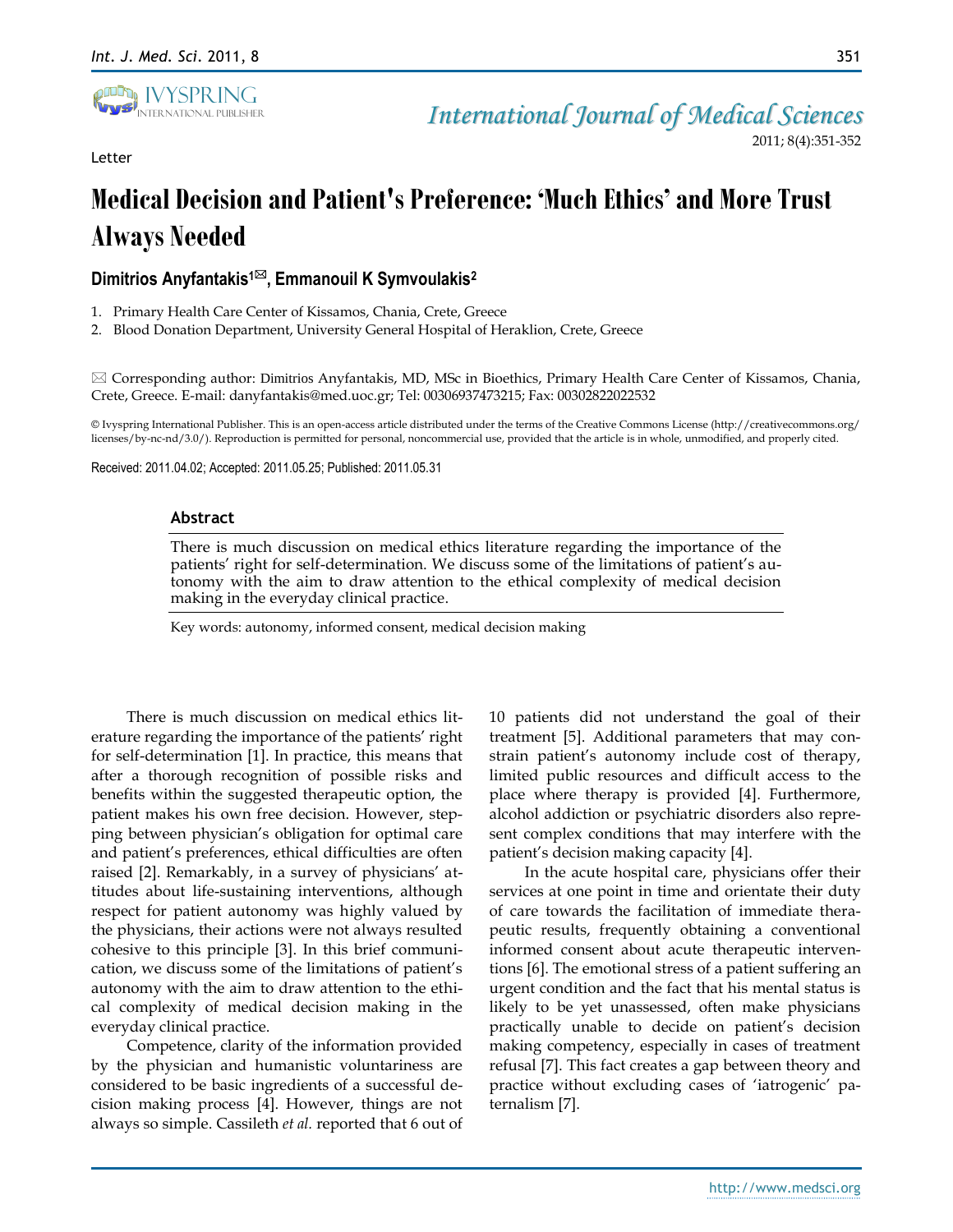

Letter

2011; 8(4):351-352

# **Medical Decision and Patient's Preference: 'Much Ethics' and More Trust Always Needed**

# **Dimitrios Anyfantakis1, Emmanouil K Symvoulakis<sup>2</sup>**

1. Primary Health Care Center of Kissamos, Chania, Crete, Greece

2. Blood Donation Department, University General Hospital of Heraklion, Crete, Greece

 $\boxtimes$  Corresponding author: Dimitrios Anyfantakis, MD, MSc in Bioethics, Primary Health Care Center of Kissamos, Chania, Crete, Greece. E-mail: danyfantakis@med.uoc.gr; Tel: 00306937473215; Fax: 00302822022532

© Ivyspring International Publisher. This is an open-access article distributed under the terms of the Creative Commons License (http://creativecommons.org/ licenses/by-nc-nd/3.0/). Reproduction is permitted for personal, noncommercial use, provided that the article is in whole, unmodified, and properly cited.

Received: 2011.04.02; Accepted: 2011.05.25; Published: 2011.05.31

#### **Abstract**

There is much discussion on medical ethics literature regarding the importance of the patients' right for self-determination. We discuss some of the limitations of patient's autonomy with the aim to draw attention to the ethical complexity of medical decision making in the everyday clinical practice.

Key words: autonomy, informed consent, medical decision making

There is much discussion on medical ethics literature regarding the importance of the patients' right for self-determination [1]. In practice, this means that after a thorough recognition of possible risks and benefits within the suggested therapeutic option, the patient makes his own free decision. However, stepping between physician's obligation for optimal care and patient's preferences, ethical difficulties are often raised [2]. Remarkably, in a survey of physicians' attitudes about life-sustaining interventions, although respect for patient autonomy was highly valued by the physicians, their actions were not always resulted cohesive to this principle [3]. In this brief communication, we discuss some of the limitations of patient's autonomy with the aim to draw attention to the ethical complexity of medical decision making in the everyday clinical practice.

Competence, clarity of the information provided by the physician and humanistic voluntariness are considered to be basic ingredients of a successful decision making process [4]. However, things are not always so simple. Cassileth *et al.* reported that 6 out of 10 patients did not understand the goal of their treatment [5]. Additional parameters that may constrain patient's autonomy include cost of therapy, limited public resources and difficult access to the place where therapy is provided [4]. Furthermore, alcohol addiction or psychiatric disorders also represent complex conditions that may interfere with the patient's decision making capacity [4].

In the acute hospital care, physicians offer their services at one point in time and orientate their duty of care towards the facilitation of immediate therapeutic results, frequently obtaining a conventional informed consent about acute therapeutic interventions [6]. The emotional stress of a patient suffering an urgent condition and the fact that his mental status is likely to be yet unassessed, often make physicians practically unable to decide on patient's decision making competency, especially in cases of treatment refusal [7]. This fact creates a gap between theory and practice without excluding cases of 'iatrogenic' paternalism [7].